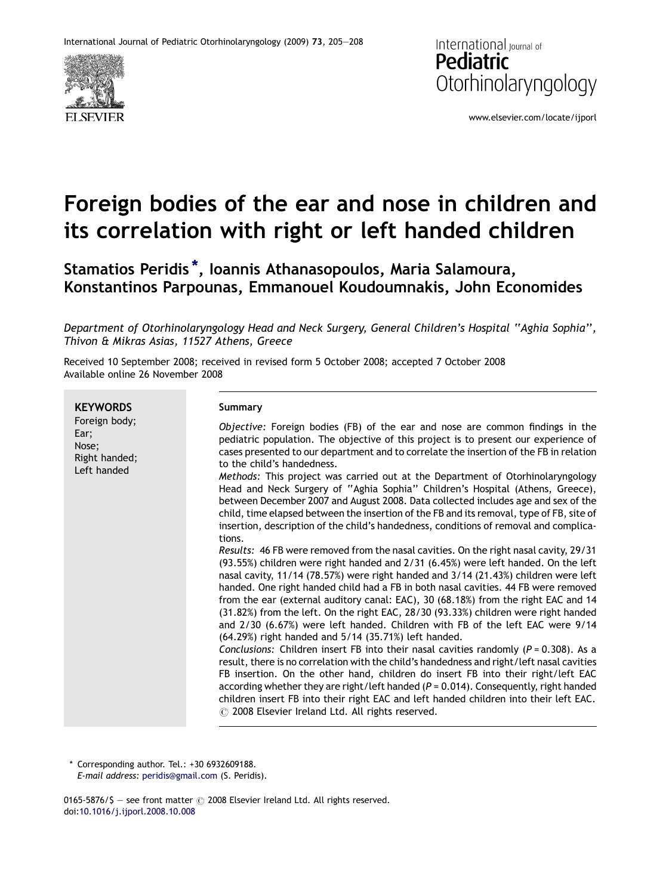



www.elsevier.com/locate/ijporl

# Foreign bodies of the ear and nose in children and its correlation with right or left handed children

Stamatios Peridis \*, Ioannis Athanasopoulos, Maria Salamoura, Konstantinos Parpounas, Emmanouel Koudoumnakis, John Economides

Department of Otorhinolaryngology Head and Neck Surgery, General Children's Hospital ''Aghia Sophia'', Thivon & Mikras Asias, 11527 Athens, Greece

Received 10 September 2008; received in revised form 5 October 2008; accepted 7 October 2008 Available online 26 November 2008

| <b>KEYWORDS</b>                                                | Summary                                                                                                                                                                                                                                                                                                                                                                                                                                                                                                                                                                                                                                                                                                                                                                                                                                                                                                                                                                                                                                                                                                                                                                                                                                                                                                                                                                                                                                                                                                                                                                                                                                                                                                                                                                                                                                                                                                                                                             |
|----------------------------------------------------------------|---------------------------------------------------------------------------------------------------------------------------------------------------------------------------------------------------------------------------------------------------------------------------------------------------------------------------------------------------------------------------------------------------------------------------------------------------------------------------------------------------------------------------------------------------------------------------------------------------------------------------------------------------------------------------------------------------------------------------------------------------------------------------------------------------------------------------------------------------------------------------------------------------------------------------------------------------------------------------------------------------------------------------------------------------------------------------------------------------------------------------------------------------------------------------------------------------------------------------------------------------------------------------------------------------------------------------------------------------------------------------------------------------------------------------------------------------------------------------------------------------------------------------------------------------------------------------------------------------------------------------------------------------------------------------------------------------------------------------------------------------------------------------------------------------------------------------------------------------------------------------------------------------------------------------------------------------------------------|
| Foreign body;<br>Ear;<br>Nose;<br>Right handed;<br>Left handed | <i>Objective:</i> Foreign bodies (FB) of the ear and nose are common findings in the<br>pediatric population. The objective of this project is to present our experience of<br>cases presented to our department and to correlate the insertion of the FB in relation<br>to the child's handedness.<br>Methods: This project was carried out at the Department of Otorhinolaryngology<br>Head and Neck Surgery of "Aghia Sophia" Children's Hospital (Athens, Greece),<br>between December 2007 and August 2008. Data collected includes age and sex of the<br>child, time elapsed between the insertion of the FB and its removal, type of FB, site of<br>insertion, description of the child's handedness, conditions of removal and complica-<br>tions.<br>Results: 46 FB were removed from the nasal cavities. On the right nasal cavity, 29/31<br>(93.55%) children were right handed and 2/31 (6.45%) were left handed. On the left<br>nasal cavity, 11/14 (78.57%) were right handed and 3/14 (21.43%) children were left<br>handed. One right handed child had a FB in both nasal cavities. 44 FB were removed<br>from the ear (external auditory canal: EAC), 30 (68.18%) from the right EAC and 14<br>(31.82%) from the left. On the right EAC, 28/30 (93.33%) children were right handed<br>and 2/30 (6.67%) were left handed. Children with FB of the left EAC were 9/14<br>(64.29%) right handed and 5/14 (35.71%) left handed.<br>Conclusions: Children insert FB into their nasal cavities randomly ( $P = 0.308$ ). As a<br>result, there is no correlation with the child's handedness and right/left nasal cavities<br>FB insertion. On the other hand, children do insert FB into their right/left EAC<br>according whether they are right/left handed ( $P = 0.014$ ). Consequently, right handed<br>children insert FB into their right EAC and left handed children into their left EAC.<br>© 2008 Elsevier Ireland Ltd. All rights reserved. |

\* Corresponding author. Tel.: +30 6932609188. E-mail address: [peridis@gmail.com](mailto:peridis@gmail.com) (S. Peridis).

0165-5876/\$ - see front matter  $\odot$  2008 Elsevier Ireland Ltd. All rights reserved. doi[:10.1016/j.ijporl.2008.10.008](http://dx.doi.org/10.1016/j.ijporl.2008.10.008)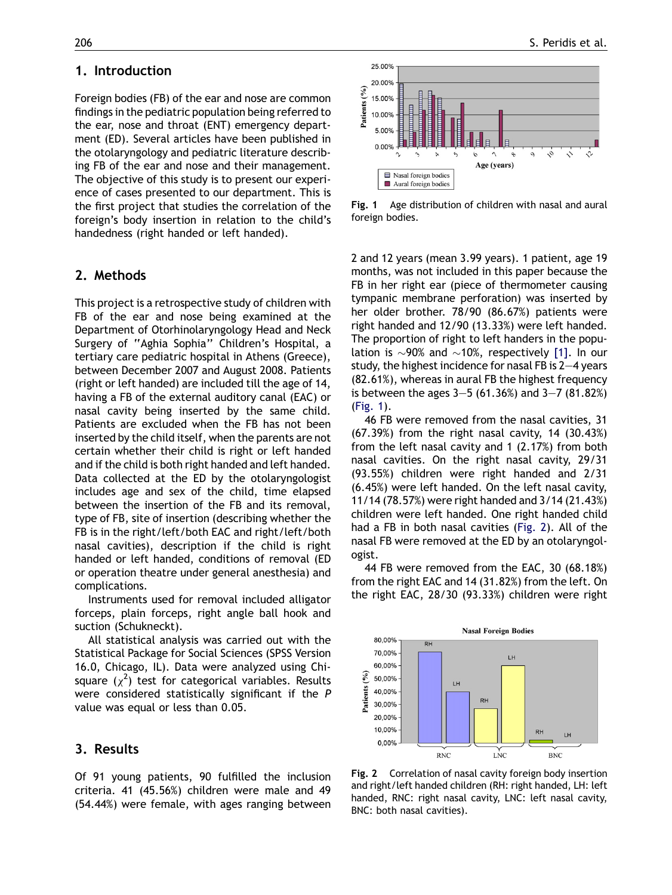### 1. Introduction

Foreign bodies (FB) of the ear and nose are common findings in the pediatric population being referred to the ear, nose and throat (ENT) emergency department (ED). Several articles have been published in the otolaryngology and pediatric literature describing FB of the ear and nose and their management. The objective of this study is to present our experience of cases presented to our department. This is the first project that studies the correlation of the foreign's body insertion in relation to the child's handedness (right handed or left handed).

## 2. Methods

This project is a retrospective study of children with FB of the ear and nose being examined at the Department of Otorhinolaryngology Head and Neck Surgery of ''Aghia Sophia'' Children's Hospital, a tertiary care pediatric hospital in Athens (Greece), between December 2007 and August 2008. Patients (right or left handed) are included till the age of 14, having a FB of the external auditory canal (EAC) or nasal cavity being inserted by the same child. Patients are excluded when the FB has not been inserted by the child itself, when the parents are not certain whether their child is right or left handed and if the child is both right handed and left handed. Data collected at the ED by the otolaryngologist includes age and sex of the child, time elapsed between the insertion of the FB and its removal, type of FB, site of insertion (describing whether the FB is in the right/left/both EAC and right/left/both nasal cavities), description if the child is right handed or left handed, conditions of removal (ED or operation theatre under general anesthesia) and complications.

Instruments used for removal included alligator forceps, plain forceps, right angle ball hook and suction (Schukneckt).

All statistical analysis was carried out with the Statistical Package for Social Sciences (SPSS Version 16.0, Chicago, IL). Data were analyzed using Chisquare  $(\chi^2)$  test for categorical variables. Results were considered statistically significant if the P value was equal or less than 0.05.

# 3. Results

Of 91 young patients, 90 fulfilled the inclusion criteria. 41 (45.56%) children were male and 49 (54.44%) were female, with ages ranging between



Fig. 1 Age distribution of children with nasal and aural foreign bodies.

2 and 12 years (mean 3.99 years). 1 patient, age 19 months, was not included in this paper because the FB in her right ear (piece of thermometer causing tympanic membrane perforation) was inserted by her older brother. 78/90 (86.67%) patients were right handed and 12/90 (13.33%) were left handed. The proportion of right to left handers in the population is  ${\sim}90\%$  and  ${\sim}10\%$ , respectively [\[1\].](#page-3-0) In our study, the highest incidence for nasal FB is 2—4 years (82.61%), whereas in aural FB the highest frequency is between the ages 3—5 (61.36%) and 3—7 (81.82%) (Fig. 1).

46 FB were removed from the nasal cavities, 31 (67.39%) from the right nasal cavity, 14 (30.43%) from the left nasal cavity and 1 (2.17%) from both nasal cavities. On the right nasal cavity, 29/31 (93.55%) children were right handed and 2/31 (6.45%) were left handed. On the left nasal cavity, 11/14 (78.57%) were right handed and 3/14 (21.43%) children were left handed. One right handed child had a FB in both nasal cavities (Fig. 2). All of the nasal FB were removed at the ED by an otolaryngologist.

44 FB were removed from the EAC, 30 (68.18%) from the right EAC and 14 (31.82%) from the left. On the right EAC, 28/30 (93.33%) children were right



Fig. 2 Correlation of nasal cavity foreign body insertion and right/left handed children (RH: right handed, LH: left handed, RNC: right nasal cavity, LNC: left nasal cavity, BNC: both nasal cavities).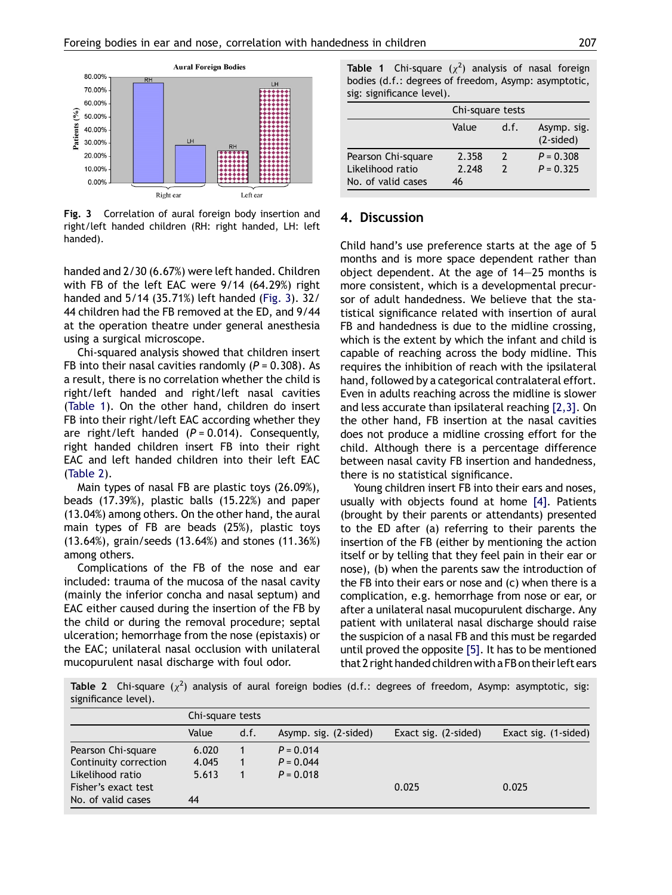

Fig. 3 Correlation of aural foreign body insertion and right/left handed children (RH: right handed, LH: left handed).

handed and 2/30 (6.67%) were left handed. Children with FB of the left EAC were 9/14 (64.29%) right handed and 5/14 (35.71%) left handed (Fig. 3). 32/ 44 children had the FB removed at the ED, and 9/44 at the operation theatre under general anesthesia using a surgical microscope.

Chi-squared analysis showed that children insert FB into their nasal cavities randomly  $(P = 0.308)$ . As a result, there is no correlation whether the child is right/left handed and right/left nasal cavities (Table 1). On the other hand, children do insert FB into their right/left EAC according whether they are right/left handed  $(P = 0.014)$ . Consequently, right handed children insert FB into their right EAC and left handed children into their left EAC (Table 2).

Main types of nasal FB are plastic toys (26.09%), beads (17.39%), plastic balls (15.22%) and paper (13.04%) among others. On the other hand, the aural main types of FB are beads (25%), plastic toys (13.64%), grain/seeds (13.64%) and stones (11.36%) among others.

Complications of the FB of the nose and ear included: trauma of the mucosa of the nasal cavity (mainly the inferior concha and nasal septum) and EAC either caused during the insertion of the FB by the child or during the removal procedure; septal ulceration; hemorrhage from the nose (epistaxis) or the EAC; unilateral nasal occlusion with unilateral mucopurulent nasal discharge with foul odor.

**Table 1** Chi-square  $(x^2)$  analysis of nasal foreign bodies (d.f.: degrees of freedom, Asymp: asymptotic, sig: significance level).

|                    | Chi-square tests |      |                            |  |
|--------------------|------------------|------|----------------------------|--|
|                    | Value            | d.f. | Asymp. sig.<br>$(2-sided)$ |  |
| Pearson Chi-square | 2.358            | 2    | $P = 0.308$                |  |
| Likelihood ratio   | 2.248            | 2    | $P = 0.325$                |  |
| No. of valid cases | 46               |      |                            |  |
|                    |                  |      |                            |  |

#### 4. Discussion

Child hand's use preference starts at the age of 5 months and is more space dependent rather than object dependent. At the age of 14—25 months is more consistent, which is a developmental precursor of adult handedness. We believe that the statistical significance related with insertion of aural FB and handedness is due to the midline crossing, which is the extent by which the infant and child is capable of reaching across the body midline. This requires the inhibition of reach with the ipsilateral hand, followed by a categorical contralateral effort. Even in adults reaching across the midline is slower and less accurate than ipsilateral reaching [\[2,3\].](#page-3-0) On the other hand, FB insertion at the nasal cavities does not produce a midline crossing effort for the child. Although there is a percentage difference between nasal cavity FB insertion and handedness, there is no statistical significance.

Young children insert FB into their ears and noses, usually with objects found at home [\[4\].](#page-3-0) Patients (brought by their parents or attendants) presented to the ED after (a) referring to their parents the insertion of the FB (either by mentioning the action itself or by telling that they feel pain in their ear or nose), (b) when the parents saw the introduction of the FB into their ears or nose and (c) when there is a complication, e.g. hemorrhage from nose or ear, or after a unilateral nasal mucopurulent discharge. Any patient with unilateral nasal discharge should raise the suspicion of a nasal FB and this must be regarded until proved the opposite [\[5\].](#page-3-0) It has to be mentioned that 2 right handed children with a FB on theirleft ears

Table 2 Chi-square  $(\chi^2)$  analysis of aural foreign bodies (d.f.: degrees of freedom, Asymp: asymptotic, sig: significance level).

|                       | Chi-square tests |      |                       |                      |                      |  |  |  |
|-----------------------|------------------|------|-----------------------|----------------------|----------------------|--|--|--|
|                       | Value            | d.f. | Asymp. sig. (2-sided) | Exact sig. (2-sided) | Exact sig. (1-sided) |  |  |  |
| Pearson Chi-square    | 6.020            |      | $P = 0.014$           |                      |                      |  |  |  |
| Continuity correction | 4.045            |      | $P = 0.044$           |                      |                      |  |  |  |
| Likelihood ratio      | 5.613            |      | $P = 0.018$           |                      |                      |  |  |  |
| Fisher's exact test   |                  |      |                       | 0.025                | 0.025                |  |  |  |
| No. of valid cases    | 44               |      |                       |                      |                      |  |  |  |